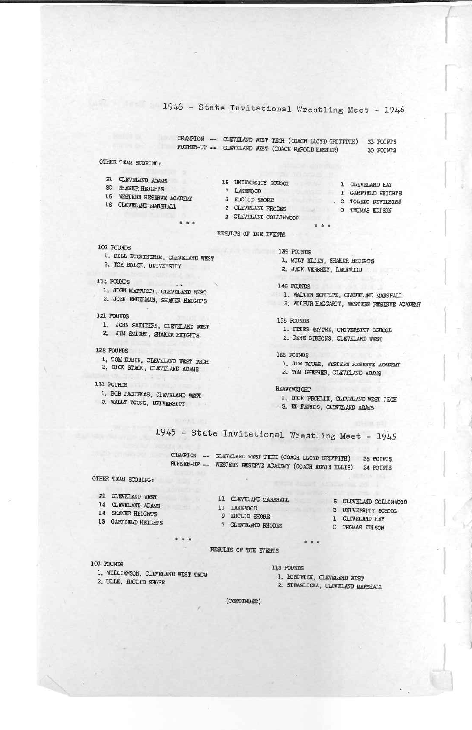1946 - State Invitational Wrestling Meet - 1946

CHAMPION - CLEVELAND WEST TECH (COACH LLOYD GRIFFITH) 33 POINTS RUNNER-UP -- CLEVELAND WEST (COACH HAROLD KESTER) 30 POINTS

## OTHER TEAM SCORING:

| 21           | CLEVELAND ADAMS         |
|--------------|-------------------------|
| $20^{\circ}$ | <b>SHAKER HEIGHTS</b>   |
| $16^{\circ}$ | WESTERN RESERVE ACADEMY |
|              | IC CLERER UP HARMON     |

- **LARSHAL**
- $-1$
- 7 LAKEWOOD 3 EUCLID SHORE
- 
- 2 CLEVELAND RHODES O THOMAS EDISON
- 1 GARFIELD HEIGHTS O TOLEDO DEVILBISS
	-
- 2 CLEVELAND COLLINWOOD  $9.8.8$

#### RESULTS OF THE EVENTS

- 103 POUNDS
- 1. BILL BUCKINGHAM, CLEVELAND WEST
- 2. TOM BOLCH, UNIVERSITY

### 114 POUNDS

- 1. JOHN MATTUCCI, CLEVELAND WEST
- 2. JOHN ENDETMAN, SHAKER HEIGHTS
- 121 POUNDS
	- 1. JOHN SAUNDERS, CLEVELAND WEST
	- 2. JIM SMIGHT, SHAKER HEIGHTS
- 128 POUNDS
- 1, TOM DUBIN, CLEVELAND WEST TECH 2. DICK STACK, CLEVELAND ADAMS
- 131 POUNDS
- 1. BOB JACUPKAS, CLEVELAND WEST 2. WALLY YOUNG, UNIVERSITY

139 POUNDS

15 UNIVERSITY SCHOOL 1 CLEVELAND HAY

- 1. MILT KLIEN, SHAKER HEIGHTS
- 2. JACK VERSEY, LAKEWOOD

146 POUNDS

- 1. WALTER SCHULTZ, CLEVELAND MARSHALL
- 2. WILBUR HAGGARTY, WESTERN RESERVE ACADEMY

155 POUNDS

- 1. PETER SAYTHE, UNIVERSITY SCHOOL
- 2. GENE GIBBONS, CLEVELAND WEST

166 PCUNDS

- 1. JIM ROUSH, WESTERN RESERVE ACADEMY
- 2. TOM GREPHER, CLEVELAND ADAMS

**HEAVYWEICHT** 

- 1. DICK PROHLIK, CLEVELAND WEST TECH
- 2. ED FERRIS, CLEVELAND ADAMS

1945 - State Invitational Wrestling Meet - 1945

CHANPION -- CLEVELAND WEST TECH (COACH LLOYD GRIFFITH) 35 POINTS RUNNER-UP -- WESTERN RESERVE ACADEMY (COACH EDWIN ELLIS) 24 FOINTS

OTHER TEAM SCORING:

14 CLEVELAND ADAMS

- 14 SHAKER HEIGHTS
- 13 GARFIELD HEIGHTS
- 11 LAKEWOOD 3 UNIVERSITY SCHOOL 9 EUCLID SHORE 7 CLEVELAND RHODES
- 21 CLEVELAND WEST 11 CLEVELAND MARSHALL 6 CLEVELAND COLLINNOOD
	-
	- 1 CLEVELAND HAY
	- O THOMAS EDISON

RESULTS OF THE EVENTS

103 POUNDS

1. WILLIAMSON, CLEVELAND WEST TECH 2. ULLE, EUCLID SHORE

 $\begin{array}{ccc}\n\bullet & \bullet & \bullet \\
\end{array}$ 

113 POUNDS

1. BOSTWICK, CLEVELAND WEST

 $0 0 0$ 

2. STRASLICKA, CLEVELAND MARSHALL

(CONTINUED)